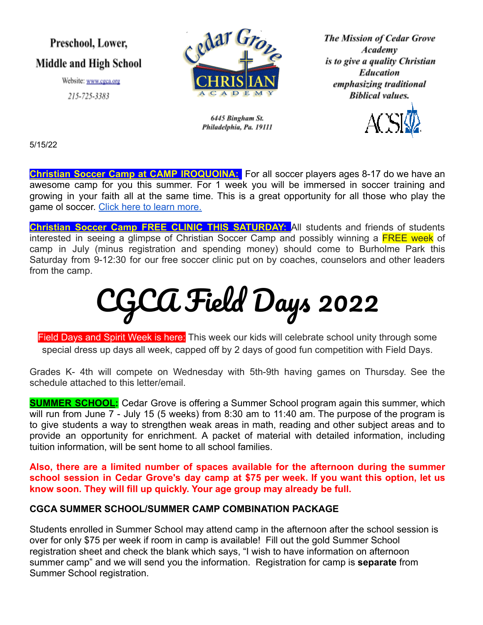# Preschool, Lower, **Middle and High School**

Website: www.cgca.org

215-725-3383



6445 Bingham St. Philadelphia, Pa. 19111 **The Mission of Cedar Grove** Academy is to give a quality Christian **Education** emphasizing traditional **Biblical values.** 



5/15/22

**Christian Soccer Camp at CAMP IROQUOINA:** For all soccer players ages 8-17 do we have an awesome camp for you this summer. For 1 week you will be immersed in soccer training and growing in your faith all at the same time. This is a great opportunity for all those who play the game ol soccer. [Click here to learn more.](http://iroquoina.org/summer-camps/soccer-camp/)

**Christian Soccer Camp FREE CLINIC THIS SATURDAY:** All students and friends of students interested in seeing a glimpse of Christian Soccer Camp and possibly winning a FREE week of camp in July (minus registration and spending money) should come to Burholme Park this Saturday from 9-12:30 for our free soccer clinic put on by coaches, counselors and other leaders from the camp.

# CGCA Field Days 2022

Field Days and Spirit Week is here: This week our kids will celebrate school unity through some special dress up days all week, capped off by 2 days of good fun competition with Field Days.

Grades K- 4th will compete on Wednesday with 5th-9th having games on Thursday. See the schedule attached to this letter/email.

**SUMMER SCHOOL:** Cedar Grove is offering a Summer School program again this summer, which will run from June 7 - July 15 (5 weeks) from 8:30 am to 11:40 am. The purpose of the program is to give students a way to strengthen weak areas in math, reading and other subject areas and to provide an opportunity for enrichment. A packet of material with detailed information, including tuition information, will be sent home to all school families.

**Also, there are a limited number of spaces available for the afternoon during the summer school session in Cedar Grove's day camp at \$75 per week. If you want this option, let us know soon. They will fill up quickly. Your age group may already be full.**

# **CGCA SUMMER SCHOOL/SUMMER CAMP COMBINATION PACKAGE**

Students enrolled in Summer School may attend camp in the afternoon after the school session is over for only \$75 per week if room in camp is available! Fill out the gold Summer School registration sheet and check the blank which says, "I wish to have information on afternoon summer camp" and we will send you the information. Registration for camp is **separate** from Summer School registration.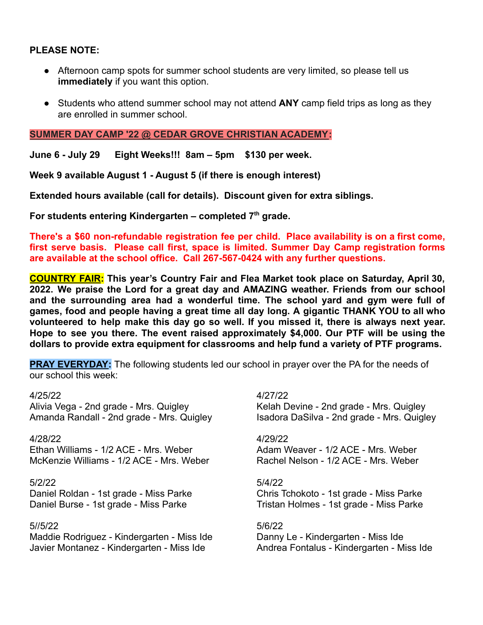# **PLEASE NOTE:**

- Afternoon camp spots for summer school students are very limited, so please tell us **immediately** if you want this option.
- Students who attend summer school may not attend **ANY** camp field trips as long as they are enrolled in summer school.

### **SUMMER DAY CAMP '22 @ CEDAR GROVE CHRISTIAN ACADEMY:**

**June 6 - July 29 Eight Weeks!!! 8am – 5pm \$130 per week.**

**Week 9 available August 1 - August 5 (if there is enough interest)**

**Extended hours available (call for details). Discount given for extra siblings.**

**For students entering Kindergarten – completed 7th grade.**

**There's a \$60 non-refundable registration fee per child. Place availability is on a first come, first serve basis. Please call first, space is limited. Summer Day Camp registration forms are available at the school office. Call 267-567-0424 with any further questions.**

**COUNTRY FAIR: This year's Country Fair and Flea Market took place on Saturday, April 30, 2022. We praise the Lord for a great day and AMAZING weather. Friends from our school and the surrounding area had a wonderful time. The school yard and gym were full of games, food and people having a great time all day long. A gigantic THANK YOU to all who volunteered to help make this day go so well. If you missed it, there is always next year. Hope to see you there. The event raised approximately \$4,000. Our PTF will be using the dollars to provide extra equipment for classrooms and help fund a variety of PTF programs.**

**PRAY EVERYDAY:** The following students led our school in prayer over the PA for the needs of our school this week:

Alivia Vega - 2nd grade - Mrs. Quigley Kelah Devine - 2nd grade - Mrs. Quigley Amanda Randall - 2nd grade - Mrs. Quigley Isadora DaSilva - 2nd grade - Mrs. Quigley

4/28/22 4/29/22 Ethan Williams - 1/2 ACE - Mrs. Weber **Adam Weaver - 1/2 ACE - Mrs. Weber** McKenzie Williams - 1/2 ACE - Mrs. Weber Rachel Nelson - 1/2 ACE - Mrs. Weber

5/2/22 5/4/22

### 5//5/22 5/6/22

Maddie Rodriguez - Kindergarten - Miss Ide Danny Le - Kindergarten - Miss Ide Javier Montanez - Kindergarten - Miss Ide Andrea Fontalus - Kindergarten - Miss Ide

4/25/22 4/27/22

Daniel Roldan - 1st grade - Miss Parke Chris Tchokoto - 1st grade - Miss Parke Daniel Burse - 1st grade - Miss Parke Tristan Holmes - 1st grade - Miss Parke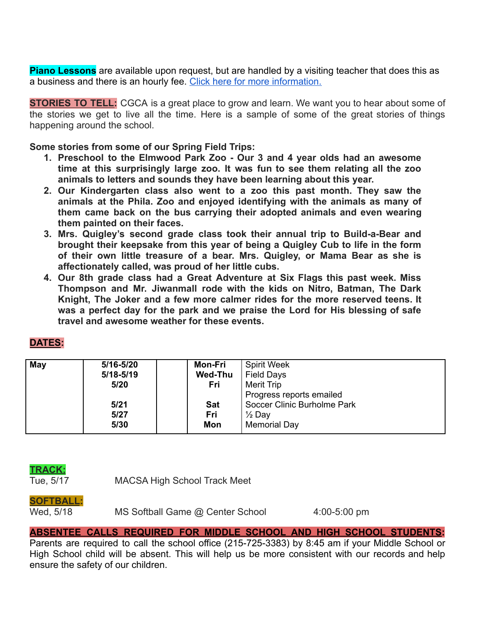**Piano Lessons** are available upon request, but are handled by a visiting teacher that does this as a business and there is an hourly fee. Click here [for more information.](https://www.cgca.org/wp-content/uploads/2022/02/piano-flyer-CGCA.pdf)

**STORIES TO TELL:** CGCA is a great place to grow and learn. We want you to hear about some of the stories we get to live all the time. Here is a sample of some of the great stories of things happening around the school.

**Some stories from some of our Spring Field Trips:**

- **1. Preschool to the Elmwood Park Zoo - Our 3 and 4 year olds had an awesome time at this surprisingly large zoo. It was fun to see them relating all the zoo animals to letters and sounds they have been learning about this year.**
- **2. Our Kindergarten class also went to a zoo this past month. They saw the animals at the Phila. Zoo and enjoyed identifying with the animals as many of them came back on the bus carrying their adopted animals and even wearing them painted on their faces.**
- **3. Mrs. Quigley's second grade class took their annual trip to Build-a-Bear and brought their keepsake from this year of being a Quigley Cub to life in the form of their own little treasure of a bear. Mrs. Quigley, or Mama Bear as she is affectionately called, was proud of her little cubs.**
- **4. Our 8th grade class had a Great Adventure at Six Flags this past week. Miss Thompson and Mr. Jiwanmall rode with the kids on Nitro, Batman, The Dark Knight, The Joker and a few more calmer rides for the more reserved teens. It was a perfect day for the park and we praise the Lord for His blessing of safe travel and awesome weather for these events.**

| May | 5/16-5/20     | Mon-Fri        | <b>Spirit Week</b>          |
|-----|---------------|----------------|-----------------------------|
|     | $5/18 - 5/19$ | <b>Wed-Thu</b> | <b>Field Days</b>           |
|     | 5/20          | Fri            | Merit Trip                  |
|     |               |                | Progress reports emailed    |
|     | 5/21          | <b>Sat</b>     | Soccer Clinic Burholme Park |
|     | 5/27          | Fri            | $\frac{1}{2}$ Day           |
|     | 5/30          | Mon            | Memorial Day                |

# **DATES:**

# **TRACK:**

Tue, 5/17 MACSA High School Track Meet

# **SOFTBALL:**

Wed, 5/18 MS Softball Game @ Center School 4:00-5:00 pm

# **ABSENTEE CALLS REQUIRED FOR MIDDLE SCHOOL AND HIGH SCHOOL STUDENTS:**

Parents are required to call the school office (215-725-3383) by 8:45 am if your Middle School or High School child will be absent. This will help us be more consistent with our records and help ensure the safety of our children.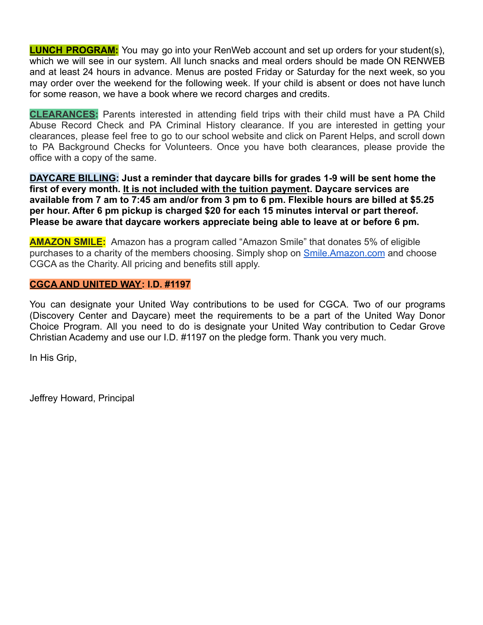**LUNCH PROGRAM:** You may go into your RenWeb account and set up orders for your student(s), which we will see in our system. All lunch snacks and meal orders should be made ON RENWEB and at least 24 hours in advance. Menus are posted Friday or Saturday for the next week, so you may order over the weekend for the following week. If your child is absent or does not have lunch for some reason, we have a book where we record charges and credits.

**CLEARANCES:** Parents interested in attending field trips with their child must have a PA Child Abuse Record Check and PA Criminal History clearance. If you are interested in getting your clearances, please feel free to go to our school website and click on Parent Helps, and scroll down to PA Background Checks for Volunteers. Once you have both clearances, please provide the office with a copy of the same.

**DAYCARE BILLING: Just a reminder that daycare bills for grades 1-9 will be sent home the first of every month. It is not included with the tuition payment. Daycare services are available from 7 am to 7:45 am and/or from 3 pm to 6 pm. Flexible hours are billed at \$5.25 per hour. After 6 pm pickup is charged \$20 for each 15 minutes interval or part thereof. Please be aware that daycare workers appreciate being able to leave at or before 6 pm.**

**AMAZON SMILE:** Amazon has a program called "Amazon Smile" that donates 5% of eligible purchases to a charity of the members choosing. Simply shop on [Smile.Amazon.com](http://smile.amazon.com/) and choose CGCA as the Charity. All pricing and benefits still apply.

# **CGCA AND UNITED WAY: I.D. #1197**

You can designate your United Way contributions to be used for CGCA. Two of our programs (Discovery Center and Daycare) meet the requirements to be a part of the United Way Donor Choice Program. All you need to do is designate your United Way contribution to Cedar Grove Christian Academy and use our I.D. #1197 on the pledge form. Thank you very much.

In His Grip,

Jeffrey Howard, Principal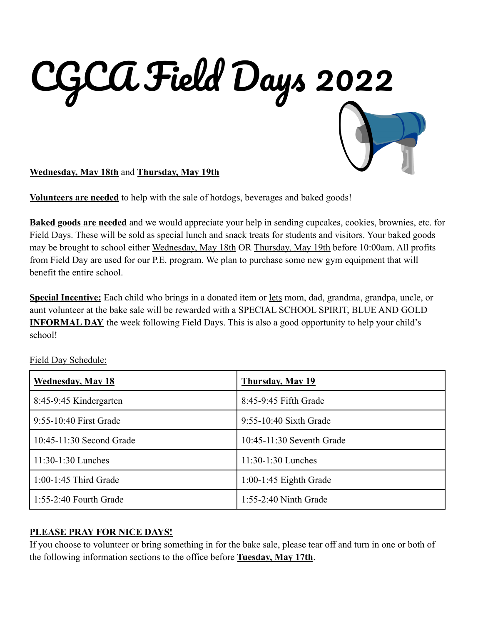

**Wednesday, May 18th** and **Thursday, May 19th**

**Volunteers are needed** to help with the sale of hotdogs, beverages and baked goods!

**Baked goods are needed** and we would appreciate your help in sending cupcakes, cookies, brownies, etc. for Field Days. These will be sold as special lunch and snack treats for students and visitors. Your baked goods may be brought to school either Wednesday, May 18th OR Thursday, May 19th before 10:00am. All profits from Field Day are used for our P.E. program. We plan to purchase some new gym equipment that will benefit the entire school.

**Special Incentive:** Each child who brings in a donated item or lets mom, dad, grandma, grandpa, uncle, or aunt volunteer at the bake sale will be rewarded with a SPECIAL SCHOOL SPIRIT, BLUE AND GOLD **INFORMAL DAY** the week following Field Days. This is also a good opportunity to help your child's school!

| <b>Wednesday, May 18</b> | <b>Thursday, May 19</b>   |
|--------------------------|---------------------------|
| 8:45-9:45 Kindergarten   | 8:45-9:45 Fifth Grade     |
| 9:55-10:40 First Grade   | $9:55-10:40$ Sixth Grade  |
| 10:45-11:30 Second Grade | 10:45-11:30 Seventh Grade |
| $11:30-1:30$ Lunches     | $11:30-1:30$ Lunches      |
| $1:00-1:45$ Third Grade  | $1:00-1:45$ Eighth Grade  |
| 1:55-2:40 Fourth Grade   | 1:55-2:40 Ninth Grade     |

Field Day Schedule:

# **PLEASE PRAY FOR NICE DAYS!**

If you choose to volunteer or bring something in for the bake sale, please tear off and turn in one or both of the following information sections to the office before **Tuesday, May 17th**.